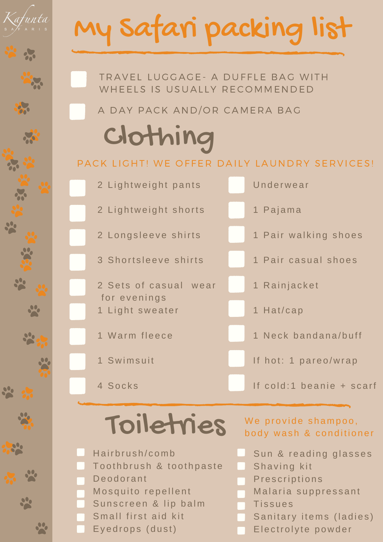# My Safari packing list



A DAY PACK AND/OR CAMERA BAG

### Clothing

#### PACK LIGHT! WE OFFER DAILY LAUNDRY SERVICES!



#### Toiletries

Hairbrush/comb To oth brush & to oth paste D e o d o r a n t Mosquito repellent Sunscreen & lip balm Small first aid kit Eyedrops (dust)

We provide shampoo, body wash & conditioner

- Sun & reading glasses
- Shaving kit
- **Prescriptions**
- Malaria suppressant
- **Tissues** 
	- Sanitary items (ladies)
- Electrolyte powder